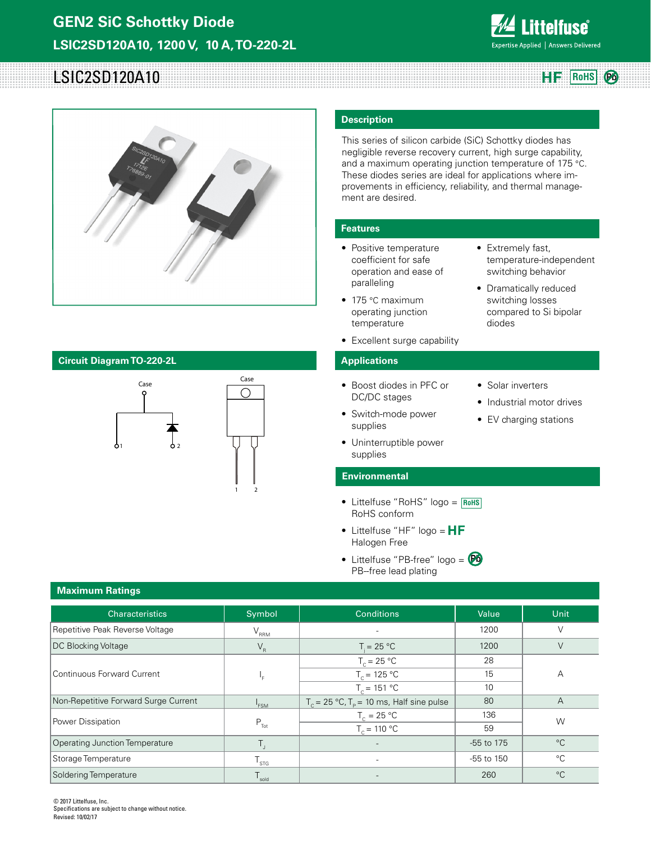

**RoHS** 

# LSIC2SD120A10



# **Circuit Diagram TO-220-2L Applications**



## **Description**

This series of silicon carbide (SiC) Schottky diodes has negligible reverse recovery current, high surge capability, and a maximum operating junction temperature of 175 °C. These diodes series are ideal for applications where improvements in efficiency, reliability, and thermal management are desired.

• Extremely fast,

diodes

• Solar inverters

• Industrial motor drives • EV charging stations

temperature-independent switching behavior • Dramatically reduced switching losses compared to Si bipolar

# **Features**

- Positive temperature coefficient for safe operation and ease of paralleling
- 175 °C maximum operating junction temperature
- Excellent surge capability

- Boost diodes in PFC or DC/DC stages
- Switch-mode power supplies
- Uninterruptible power supplies

### **Environmental**

- Littelfuse "RoHS" logo = **RoHS** RoHS conform
- Littelfuse "HF" logo =  $HF$ Halogen Free
- Littelfuse "PB-free" logo = **Pb**PB--free lead plating

| <b>Characteristics</b>                | Symbol           | <b>Conditions</b>                                              | Value      | Unit         |
|---------------------------------------|------------------|----------------------------------------------------------------|------------|--------------|
| Repetitive Peak Reverse Voltage       | $V_{RRM}$        |                                                                | 1200       | V            |
| DC Blocking Voltage                   | $V_R$            | $T = 25 °C$                                                    | 1200       | $\vee$       |
|                                       |                  | $T_c = 25 °C$                                                  | 28         |              |
| Continuous Forward Current            | ۱Ė.              | $T_c = 125 °C$                                                 | 15         | А            |
|                                       |                  | $T_c = 151 °C$                                                 | 10         |              |
| Non-Repetitive Forward Surge Current  | $I_{FSM}$        | $T_c = 25 \degree C$ , $T_p = 10 \text{ ms}$ , Half sine pulse | 80         | A            |
| Power Dissipation                     |                  | $T_c = 25 °C$                                                  | 136        | W            |
|                                       | $P_{\text{Tot}}$ | $T_c = 110 °C$                                                 | 59         |              |
| <b>Operating Junction Temperature</b> | $T_{\rm d}$      | $\overline{\phantom{a}}$                                       | -55 to 175 | $^{\circ}$ C |
| Storage Temperature                   | $T_{\rm STG}$    | $\overline{\phantom{a}}$                                       | -55 to 150 | $^{\circ}C$  |
| Soldering Temperature                 | sold             |                                                                | 260        | $^{\circ}C$  |

© 2017 Littelfuse, Inc. Specifications are subject to change without notice. Revised: 10/02/17

# **Maximum Ratings**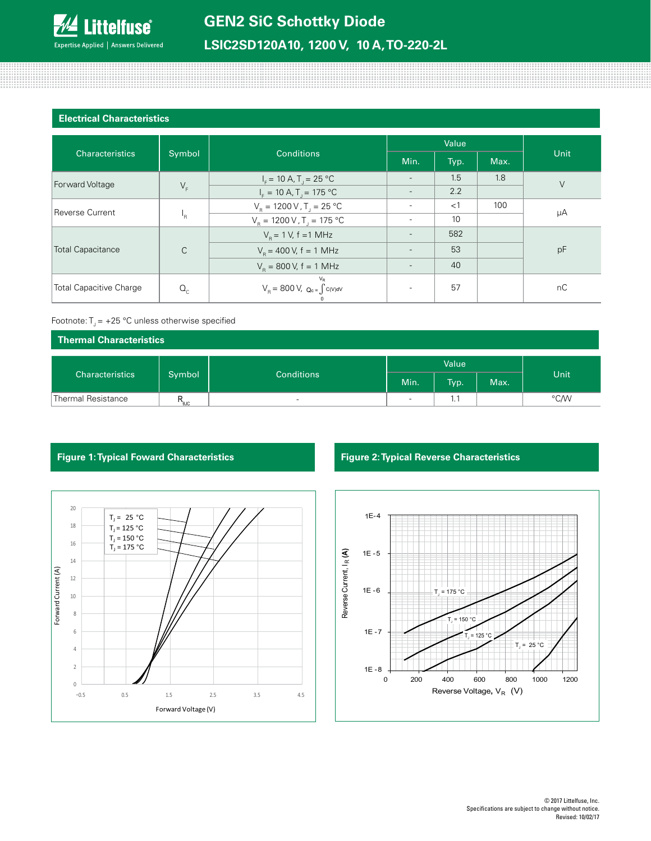

<u> 111111111111111111111111</u>

## **Electrical Characteristics**

800000000

| <b>Characteristics</b>         | Symbol       | <b>Conditions</b>                                                                                                               | Value                    |       |      |        |
|--------------------------------|--------------|---------------------------------------------------------------------------------------------------------------------------------|--------------------------|-------|------|--------|
|                                |              |                                                                                                                                 | Min.                     | Typ.  | Max. | Unit   |
| Forward Voltage                | $V_F$        | $I_F = 10 A, T_J = 25 °C$                                                                                                       |                          | 1.5   | 1.8  | $\vee$ |
|                                |              | $IF = 10 A, T1 = 175 °C$                                                                                                        | $\overline{\phantom{a}}$ | 2.2   |      |        |
| Reverse Current                | $P_{\rm R}$  | $V_{\rm B} = 1200 \, \text{V}$ , T <sub>1</sub> = 25 °C                                                                         |                          | $<$ 1 | 100  | μA     |
|                                |              | $V_R = 1200 V, T_J = 175 °C$                                                                                                    |                          | 10    |      |        |
| <b>Total Capacitance</b>       | $\mathsf{C}$ | $V_{\rm B} = 1$ V, f = 1 MHz                                                                                                    |                          | 582   |      |        |
|                                |              | $V_{\rm B}$ = 400 V, f = 1 MHz                                                                                                  |                          | 53    |      | pF     |
|                                |              | $V_{\rm B} = 800 \text{ V}, f = 1 \text{ MHz}$                                                                                  |                          | 40    |      |        |
| <b>Total Capacitive Charge</b> | $Q_{c}$      | $V_{R}$<br>$\text{V}_{\textrm{R}}\!=\,800\,\text{V}\!,\;\;\text{Q}_{\textrm{c}}\text{=}\int\!c(\textrm{V})\textrm{d}\textrm{V}$ |                          | 57    |      | nC     |

### Footnote:  $T_1 = +25$  °C unless otherwise specified

| Thermal Characteristics      |                  |                          |       |      |      |      |
|------------------------------|------------------|--------------------------|-------|------|------|------|
| Characteristics <sup>1</sup> |                  |                          | Value |      |      |      |
|                              | Symbol           | <b>Conditions</b>        | Min.  | Typ. | Max. | Unit |
| Thermal Resistance           | $R_{\text{euc}}$ | $\overline{\phantom{0}}$ | -     | ا ۱۰ |      | °C/W |



# **Figure 1: Typical Foward Characteristics Figure 2: Typical Reverse Characteristics**

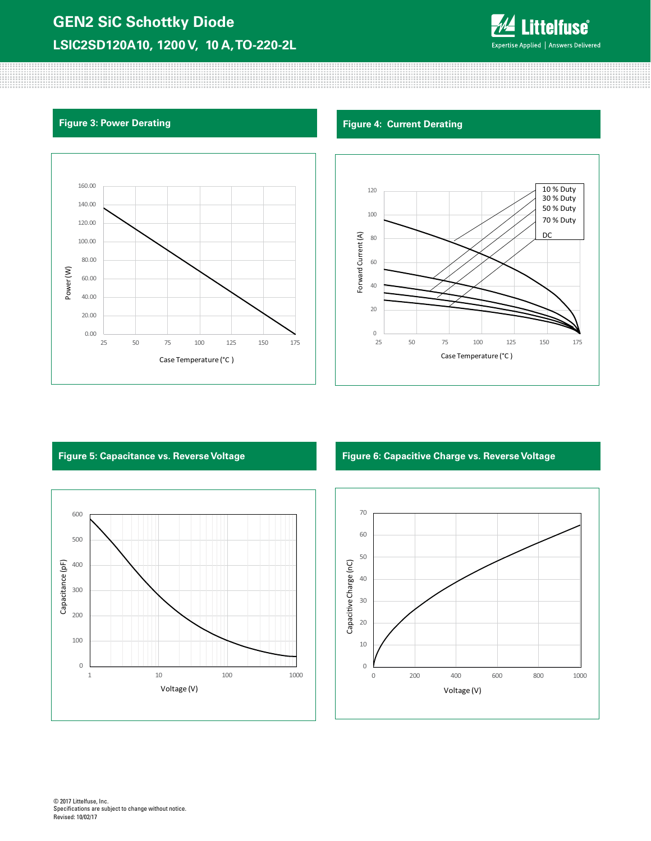# **GEN2 SiC Schottky Diode LSIC2SD120A10, 1200 V, 10 A, TO-220-2L**



80000000000

# **Figure 3: Power Derating Figure 4: Current Derating Figure 4: Current Derating**







## **Figure 5: Capacitance vs. Reverse Voltage Figure 6: Capacitive Charge vs. Reverse Voltage**

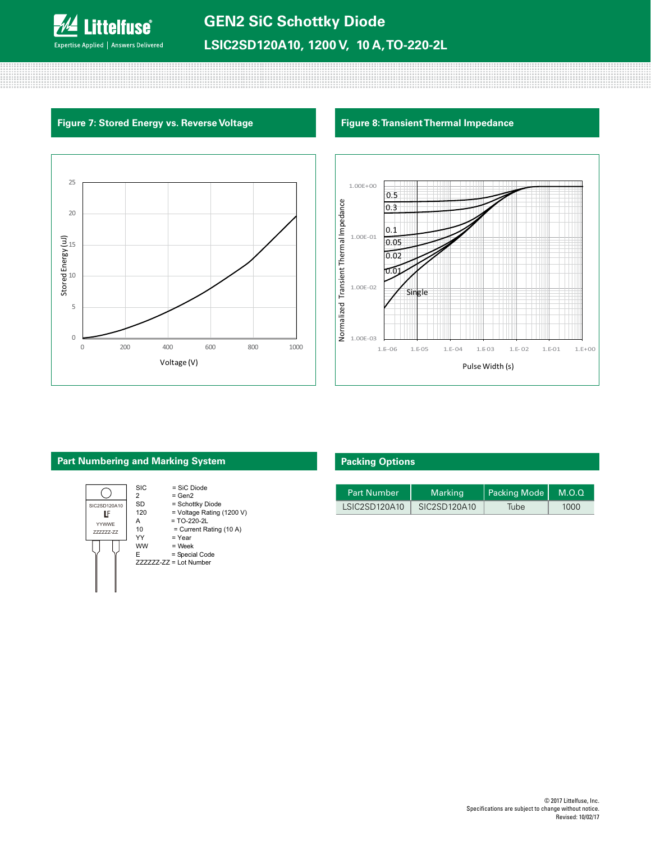

;;;;;;;;;;;;;;;;;;;;;;;;;;;;;;;;;;;;;

# **Figure 7: Stored Energy vs. Reverse Voltage Figure 8: Transient Thermal Impedance**





## **Part Numbering and Marking System**



# **Packing Options**

| <b>Part Number</b> | <b>Marking</b> | Packing Mode   M.O.Q |      |
|--------------------|----------------|----------------------|------|
| LSIC2SD120A10      | SIC2SD120A10   | Tube                 | 1000 |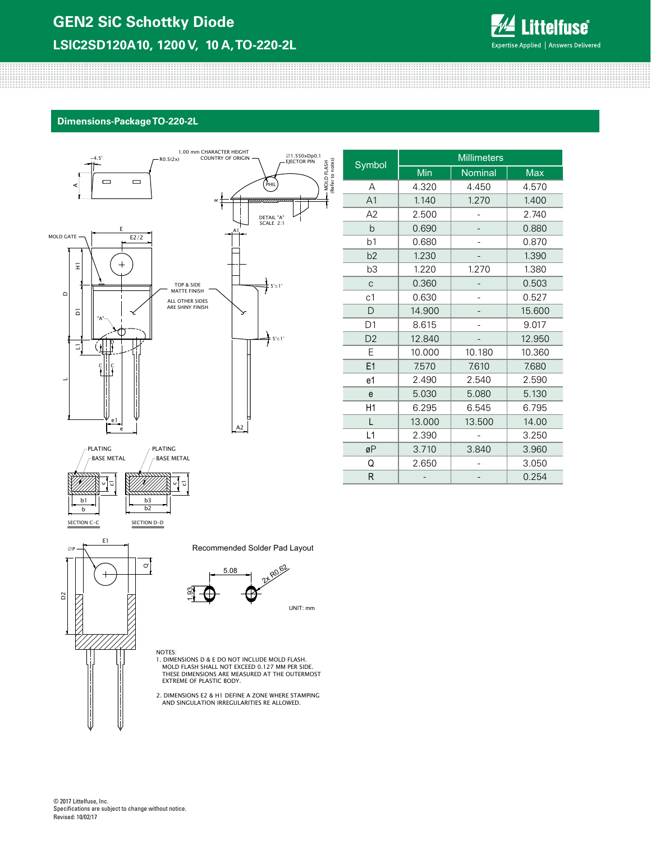

### **Dimensions-Package TO-220-2L**



| Symbol         | <b>Millimeters</b> |         |            |  |
|----------------|--------------------|---------|------------|--|
|                | Min                | Nominal | <b>Max</b> |  |
| A              | 4.320              | 4.450   | 4.570      |  |
| A <sub>1</sub> | 1.140              | 1.270   | 1.400      |  |
| A2             | 2.500              |         | 2.740      |  |
| $\mathsf{b}$   | 0.690              |         | 0.880      |  |
| b <sub>1</sub> | 0.680              |         | 0.870      |  |
| b2             | 1.230              |         | 1.390      |  |
| b3             | 1.220              | 1.270   | 1.380      |  |
| $\mathsf{C}$   | 0.360              |         | 0.503      |  |
| c <sub>1</sub> | 0.630              |         | 0.527      |  |
| $\mathsf{D}$   | 14.900             |         | 15.600     |  |
| D <sub>1</sub> | 8.615              |         | 9.017      |  |
| D <sub>2</sub> | 12.840             |         | 12.950     |  |
| Е              | 10.000             | 10.180  | 10.360     |  |
| E1             | 7.570              | 7.610   | 7.680      |  |
| e1             | 2.490              | 2.540   | 2.590      |  |
| e              | 5.030              | 5.080   | 5.130      |  |
| H1             | 6.295              | 6.545   | 6.795      |  |
| L              | 13.000             | 13.500  | 14.00      |  |
| L1             | 2.390              |         | 3.250      |  |
| øΡ             | 3.710              | 3.840   | 3.960      |  |
| Q              | 2.650              |         | 3.050      |  |
| R              |                    |         | 0.254      |  |

Recommended Solder Pad Layout



NOTES: 1. DIMENSIONS D & E DO NOT INCLUDE MOLD FLASH. MOLD FLASH SHALL NOT EXCEED 0.127 MM PER SIDE. THESE DIMENSIONS ARE MEASURED AT THE OUTERMOST EXTREME OF PLASTIC BODY.

2. DIMENSIONS E2 & H1 DEFINE A ZONE WHERE STAMPING AND SINGULATION IRREGULARITIES RE ALLOWED.

© 2017 Littelfuse, Inc. Specifications are subject to change without notice. Revised: 10/02/17

SECTION C-C SECTION D-D

 $\mathbf{\sigma}$ 

b2

E1

∅P

b

D2